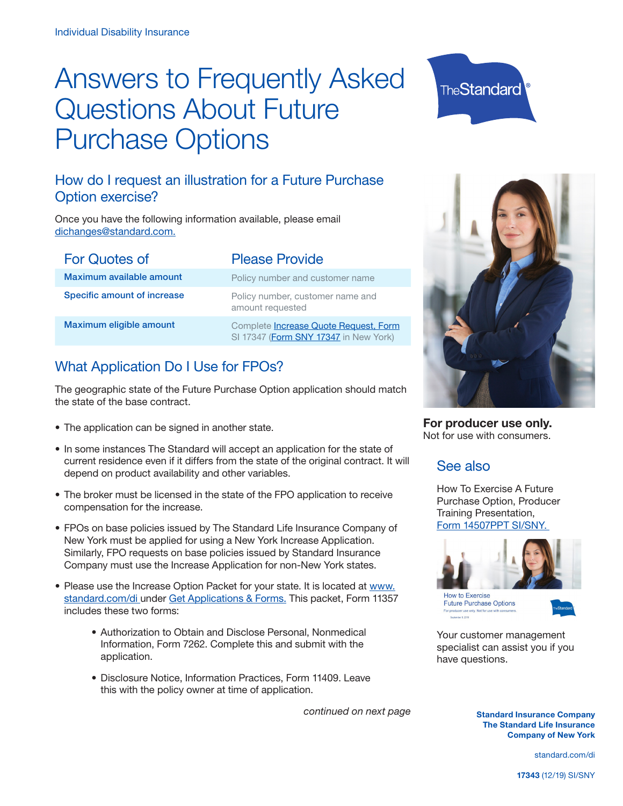# Answers to Frequently Asked Questions About Future Purchase Options

# **TheStandard**

# How do I request an illustration for a Future Purchase Option exercise?

Once you have the following information available, please email [dichanges@standard.com.](mailto:dichanges%40standard.com.?subject=)

| <b>For Quotes of</b>        | <b>Please Provide</b>                                                                  |
|-----------------------------|----------------------------------------------------------------------------------------|
| Maximum available amount    | Policy number and customer name                                                        |
| Specific amount of increase | Policy number, customer name and<br>amount requested                                   |
| Maximum eligible amount     | Complete <b>Increase Quote Request</b> , Form<br>SI 17347 (Form SNY 17347 in New York) |

# What Application Do I Use for FPOs?

The geographic state of the Future Purchase Option application should match the state of the base contract.

- The application can be signed in another state.
- In some instances The Standard will accept an application for the state of current residence even if it differs from the state of the original contract. It will depend on product availability and other variables.
- The broker must be licensed in the state of the FPO application to receive compensation for the increase.
- FPOs on base policies issued by The Standard Life Insurance Company of New York must be applied for using a New York Increase Application. Similarly, FPO requests on base policies issued by Standard Insurance Company must use the Increase Application for non-New York states.
- Please use the Increase Option Packet for your state. It is located at [www.](http://www.standard.com/di ) [standard.com/di u](http://www.standard.com/di )nder Ge[t Applications & Forms.](https://www.standard.com/di2/indisforms.html?width=800&height=600&iframe=true) This packet, Form 11357 includes these two forms:
	- Authorization to Obtain and Disclose Personal, Nonmedical Information, Form 7262. Complete this and submit with the application.
	- Disclosure Notice, Information Practices, Form 11409. Leave this with the policy owner at time of application.

*continued on next page*



**For producer use only.** Not for use with consumers.

# See also

How To Exercise A Future Purchase Option, Producer Training Presentation, [Form 14507PPT SI/SNY.](https://www.standard.com/di/forms/di/mkt/pwrpt/14507ppt_si_sny.pps) 



How to Exercise **Future Purchase Options** 



Your customer management specialist can assist you if you have questions.

> **Standard Insurance Company The Standard Life Insurance Company of New York**

> > [standard.com/di](www.standard.com/di)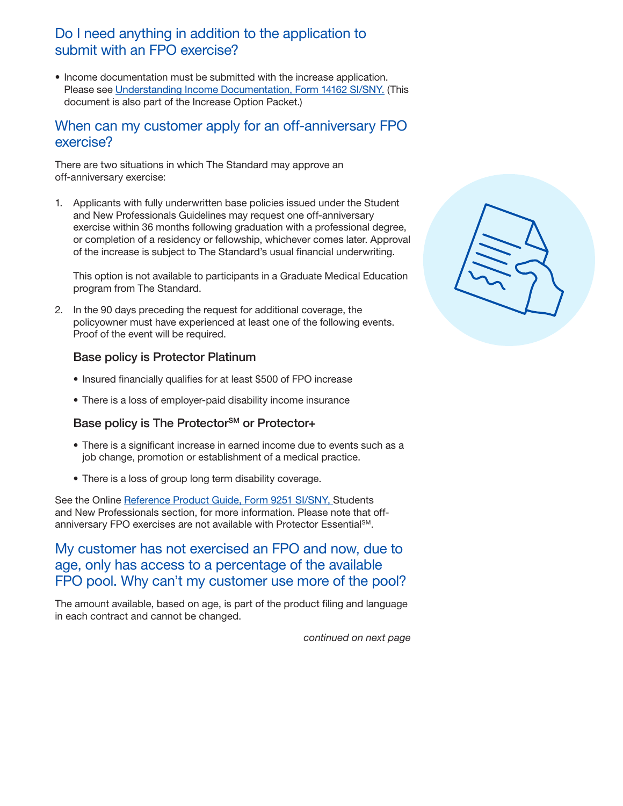## Do I need anything in addition to the application to submit with an FPO exercise?

• Income documentation must be submitted with the increase application. Please see [Understanding Income Documentation, Form 14162 SI/SNY.](https://www.standard.com/di/forms/di/mkt/14162si_sny.pdf) (This document is also part of the Increase Option Packet.)

#### When can my customer apply for an off-anniversary FPO exercise?

There are two situations in which The Standard may approve an off-anniversary exercise:

1. Applicants with fully underwritten base policies issued under the Student and New Professionals Guidelines may request one off-anniversary exercise within 36 months following graduation with a professional degree, or completion of a residency or fellowship, whichever comes later. Approval of the increase is subject to The Standard's usual financial underwriting.

This option is not available to participants in a Graduate Medical Education program from The Standard.

2. In the 90 days preceding the request for additional coverage, the policyowner must have experienced at least one of the following events. Proof of the event will be required.

#### Base policy is Protector Platinum

- Insured financially qualifies for at least \$500 of FPO increase
- There is a loss of employer-paid disability income insurance

#### Base policy is The Protector<sup>SM</sup> or Protector+

- There is a significant increase in earned income due to events such as a job change, promotion or establishment of a medical practice.
- There is a loss of group long term disability coverage.

See the Online [Reference Product Guide, Form 9251 SI/SNY,](https://go.standard.com/di/forms/di/mkt/9251ref.pdf) Students and New Professionals section, for more information. Please note that offanniversary FPO exercises are not available with Protector Essential<sup>SM</sup>.

# My customer has not exercised an FPO and now, due to age, only has access to a percentage of the available FPO pool. Why can't my customer use more of the pool?

The amount available, based on age, is part of the product filing and language in each contract and cannot be changed.

*continued on next page*